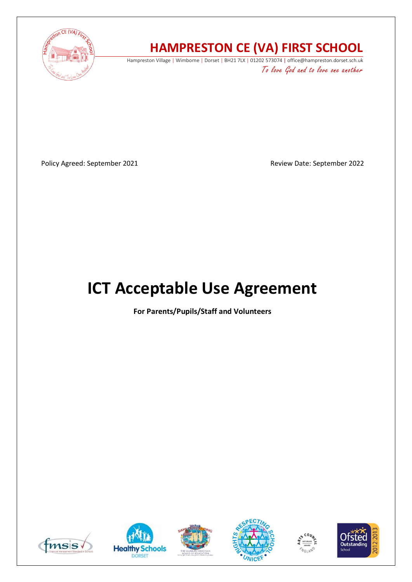

# **HAMPRESTON CE (VA) FIRST SCHOOL**

Hampreston Village | Wimborne | Dorset | BH21 7LX | 01202 573074 | office@hampreston.dorset.sch.uk To love God and to love one another

Policy Agreed: September 2021 and a september 2022

# **ICT Acceptable Use Agreement**

**For Parents/Pupils/Staff and Volunteers**











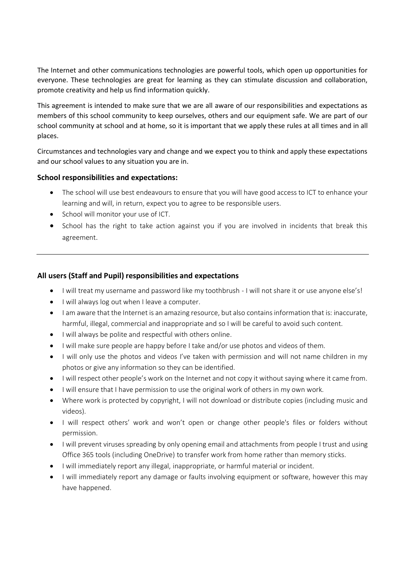The Internet and other communications technologies are powerful tools, which open up opportunities for everyone. These technologies are great for learning as they can stimulate discussion and collaboration, promote creativity and help us find information quickly.

This agreement is intended to make sure that we are all aware of our responsibilities and expectations as members of this school community to keep ourselves, others and our equipment safe. We are part of our school community at school and at home, so it is important that we apply these rules at all times and in all places.

Circumstances and technologies vary and change and we expect you to think and apply these expectations and our school values to any situation you are in.

## **School responsibilities and expectations:**

- The school will use best endeavours to ensure that you will have good access to ICT to enhance your learning and will, in return, expect you to agree to be responsible users.
- School will monitor your use of ICT.
- School has the right to take action against you if you are involved in incidents that break this agreement.

# **All users (Staff and Pupil) responsibilities and expectations**

- I will treat my username and password like my toothbrush I will not share it or use anyone else's!
- I will always log out when I leave a computer.
- I am aware that the Internet is an amazing resource, but also contains information that is: inaccurate, harmful, illegal, commercial and inappropriate and so I will be careful to avoid such content.
- I will always be polite and respectful with others online.
- I will make sure people are happy before I take and/or use photos and videos of them.
- I will only use the photos and videos I've taken with permission and will not name children in my photos or give any information so they can be identified.
- I will respect other people's work on the Internet and not copy it without saying where it came from.
- I will ensure that I have permission to use the original work of others in my own work.
- Where work is protected by copyright, I will not download or distribute copies (including music and videos).
- I will respect others' work and won't open or change other people's files or folders without permission.
- I will prevent viruses spreading by only opening email and attachments from people I trust and using Office 365 tools (including OneDrive) to transfer work from home rather than memory sticks.
- I will immediately report any illegal, inappropriate, or harmful material or incident.
- I will immediately report any damage or faults involving equipment or software, however this may have happened.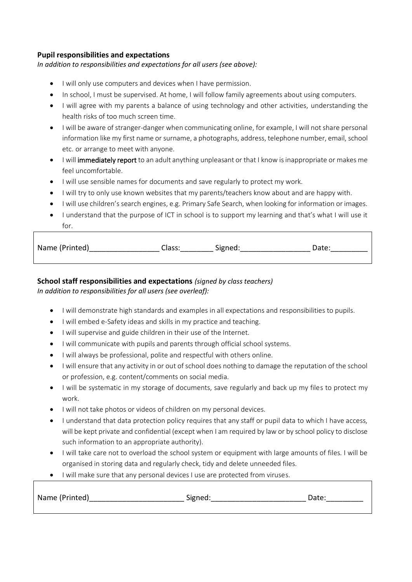# **Pupil responsibilities and expectations**

*In addition to responsibilities and expectations for all users (see above):* 

- I will only use computers and devices when I have permission.
- In school, I must be supervised. At home, I will follow family agreements about using computers.
- I will agree with my parents a balance of using technology and other activities, understanding the health risks of too much screen time.
- I will be aware of stranger-danger when communicating online, for example, I will not share personal information like my first name or surname, a photographs, address, telephone number, email, school etc. or arrange to meet with anyone.
- I will immediately report to an adult anything unpleasant or that I know is inappropriate or makes me feel uncomfortable.
- I will use sensible names for documents and save regularly to protect my work.
- I will try to only use known websites that my parents/teachers know about and are happy with.
- I will use children's search engines, e.g. Primary Safe Search, when looking for information or images.
- I understand that the purpose of ICT in school is to support my learning and that's what I will use it  $for$

| Name (Printed) | Dlass: | - -<br>Signed | Date |
|----------------|--------|---------------|------|
|                |        |               |      |

## **School staff responsibilities and expectations** *(signed by class teachers)*

*In addition to responsibilities for all users (see overleaf):* 

- I will demonstrate high standards and examples in all expectations and responsibilities to pupils.
- I will embed e-Safety ideas and skills in my practice and teaching.
- I will supervise and guide children in their use of the Internet.
- I will communicate with pupils and parents through official school systems.
- I will always be professional, polite and respectful with others online.
- I will ensure that any activity in or out of school does nothing to damage the reputation of the school or profession, e.g. content/comments on social media.
- I will be systematic in my storage of documents, save regularly and back up my files to protect my work.
- I will not take photos or videos of children on my personal devices.
- I understand that data protection policy requires that any staff or pupil data to which I have access, will be kept private and confidential (except when I am required by law or by school policy to disclose such information to an appropriate authority).
- I will take care not to overload the school system or equipment with large amounts of files. I will be organised in storing data and regularly check, tidy and delete unneeded files.
- I will make sure that any personal devices I use are protected from viruses.

| Name (Printed) | Signed: | Date |
|----------------|---------|------|
|                |         |      |